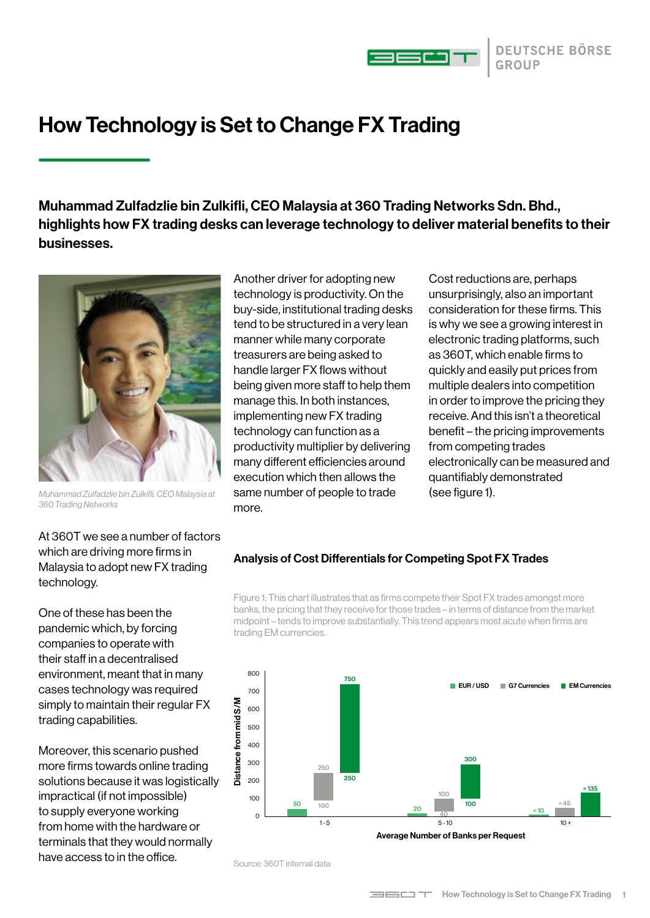

# How Technology is Set to Change FX Trading

Muhammad Zulfadzlie bin Zulkifli, CEO Malaysia at 360 Trading Networks Sdn. Bhd., highlights how FX trading desks can leverage technology to deliver material benefits to their businesses.



*Muhammad Zulfadzlie bin Zulkifli, CEO Malaysia at 360 Trading Networks*

Another driver for adopting new technology is productivity. On the buy-side, institutional trading desks tend to be structured in a very lean manner while many corporate treasurers are being asked to handle larger FX flows without being given more staff to help them manage this. In both instances, implementing new FX trading technology can function as a productivity multiplier by delivering many different efficiencies around execution which then allows the same number of people to trade more.

Cost reductions are, perhaps unsurprisingly, also an important consideration for these firms. This is why we see a growing interest in electronic trading platforms, such as 360T, which enable firms to quickly and easily put prices from multiple dealers into competition in order to improve the pricing they receive. And this isn't a theoretical benefit – the pricing improvements from competing trades electronically can be measured and quantifiably demonstrated (see figure 1).

At 360T we see a number of factors which are driving more firms in Malaysia to adopt new FX trading technology.

One of these has been the pandemic which, by forcing companies to operate with their staff in a decentralised environment, meant that in many cases technology was required simply to maintain their regular FX trading capabilities.

Moreover, this scenario pushed more firms towards online trading solutions because it was logistically impractical (if not impossible) to supply everyone working from home with the hardware or terminals that they would normally have access to in the office.

#### Analysis of Cost Differentials for Competing Spot FX Trades

Figure 1: This chart illustrates that as firms compete their Spot FX trades amongst more banks, the pricing that they receive for those trades – in terms of distance from the market midpoint – tends to improve substantially. This trend appears most acute when firms are trading EM currencies.



Average Number of Banks per Request

Source: 360T internal data